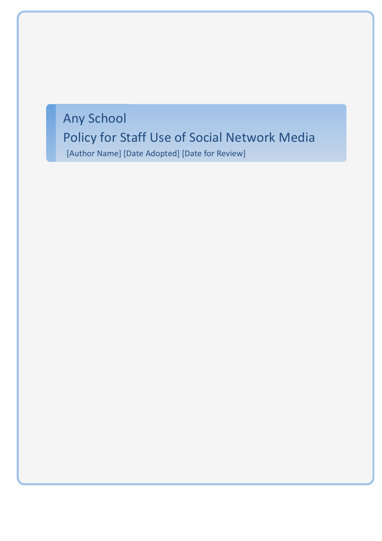# Any School

# Policy for Staff Use of Social Network Media

[Author Name] [Date Adopted] [Date for Review]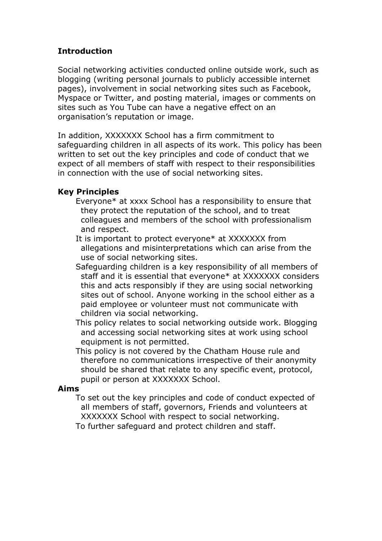# **Introduction**

Social networking activities conducted online outside work, such as blogging (writing personal journals to publicly accessible internet pages), involvement in social networking sites such as Facebook, Myspace or Twitter, and posting material, images or comments on sites such as You Tube can have a negative effect on an organisation's reputation or image.

In addition, XXXXXXX School has a firm commitment to safeguarding children in all aspects of its work. This policy has been written to set out the key principles and code of conduct that we expect of all members of staff with respect to their responsibilities in connection with the use of social networking sites.

## **Key Principles**

- Everyone\* at xxxx School has a responsibility to ensure that they protect the reputation of the school, and to treat colleagues and members of the school with professionalism and respect.
- It is important to protect everyone\* at XXXXXXX from allegations and misinterpretations which can arise from the use of social networking sites.
- Safeguarding children is a key responsibility of all members of staff and it is essential that everyone\* at XXXXXXX considers this and acts responsibly if they are using social networking sites out of school. Anyone working in the school either as a paid employee or volunteer must not communicate with children via social networking.
- This policy relates to social networking outside work. Blogging and accessing social networking sites at work using school equipment is not permitted.
- This policy is not covered by the Chatham House rule and therefore no communications irrespective of their anonymity should be shared that relate to any specific event, protocol, pupil or person at XXXXXXX School.

### **Aims**

 To set out the key principles and code of conduct expected of all members of staff, governors, Friends and volunteers at XXXXXXX School with respect to social networking.

To further safeguard and protect children and staff.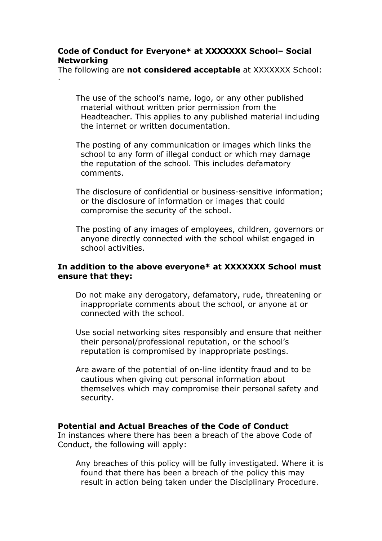## **Code of Conduct for Everyone\* at XXXXXXX School– Social Networking**

·

The following are **not considered acceptable** at XXXXXXX School:

 The use of the school's name, logo, or any other published material without written prior permission from the Headteacher. This applies to any published material including the internet or written documentation.

- The posting of any communication or images which links the school to any form of illegal conduct or which may damage the reputation of the school. This includes defamatory comments.
- The disclosure of confidential or business-sensitive information; or the disclosure of information or images that could compromise the security of the school.
- The posting of any images of employees, children, governors or anyone directly connected with the school whilst engaged in school activities.

### **In addition to the above everyone\* at XXXXXXX School must ensure that they:**

- Do not make any derogatory, defamatory, rude, threatening or inappropriate comments about the school, or anyone at or connected with the school.
- Use social networking sites responsibly and ensure that neither their personal/professional reputation, or the school's reputation is compromised by inappropriate postings.
- Are aware of the potential of on-line identity fraud and to be cautious when giving out personal information about themselves which may compromise their personal safety and security.

### **Potential and Actual Breaches of the Code of Conduct**

In instances where there has been a breach of the above Code of Conduct, the following will apply:

 Any breaches of this policy will be fully investigated. Where it is found that there has been a breach of the policy this may result in action being taken under the Disciplinary Procedure.